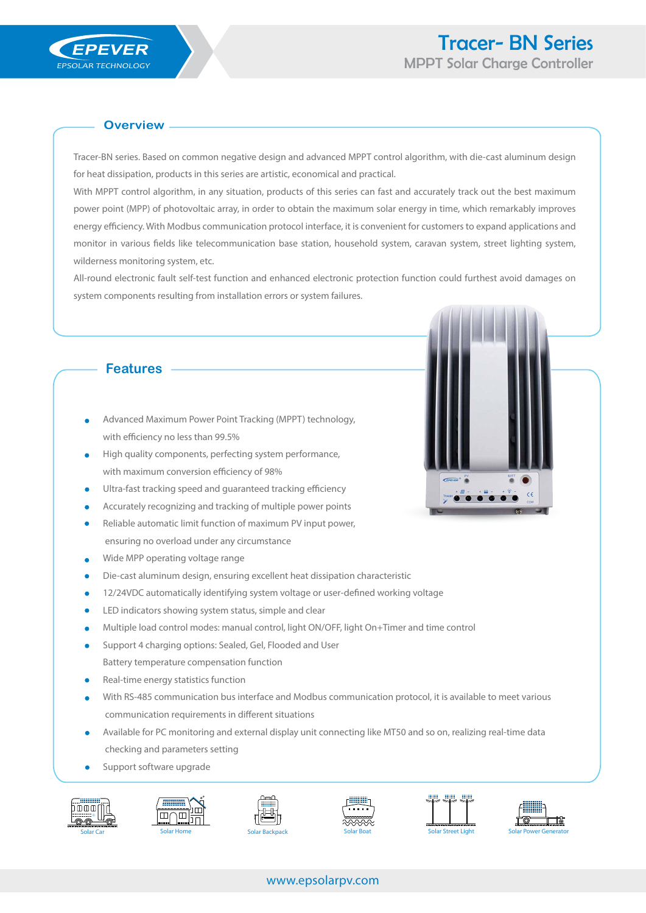## **Overview**

Tracer-BN series. Based on common negative design and advanced MPPT control algorithm, with die-cast aluminum design for heat dissipation, products in this series are artistic, economical and practical.

With MPPT control algorithm, in any situation, products of this series can fast and accurately track out the best maximum power point (MPP) of photovoltaic array, in order to obtain the maximum solar energy in time, which remarkably improves energy efficiency. With Modbus communication protocol interface, it is convenient for customers to expand applications and monitor in various fields like telecommunication base station, household system, caravan system, street lighting system, wilderness monitoring system, etc.

All-round electronic fault self-test function and enhanced electronic protection function could furthest avoid damages on system components resulting from installation errors or system failures.

## **Features**

- Advanced Maximum Power Point Tracking (MPPT) technology, with efficiency no less than 99.5%
- High quality components, perfecting system performance, with maximum conversion efficiency of 98%
- Ultra-fast tracking speed and guaranteed tracking efficiency
- Accurately recognizing and tracking of multiple power points
- Reliable automatic limit function of maximum PV input power, ensuring no overload under any circumstance
- Wide MPP operating voltage range
- Die-cast aluminum design, ensuring excellent heat dissipation characteristic
- 12/24VDC automatically identifying system voltage or user-defined working voltage
- LED indicators showing system status, simple and clear
- Multiple load control modes: manual control, light ON/OFF, light On+Timer and time control
- Support 4 charging options: Sealed, Gel, Flooded and User Battery temperature compensation function
- Real-time energy statistics function
- With RS-485 communication bus interface and Modbus communication protocol, it is available to meet various communication requirements in different situations
- Available for PC monitoring and external display unit connecting like MT50 and so on, realizing real-time data checking and parameters setting
- Support software upgrade